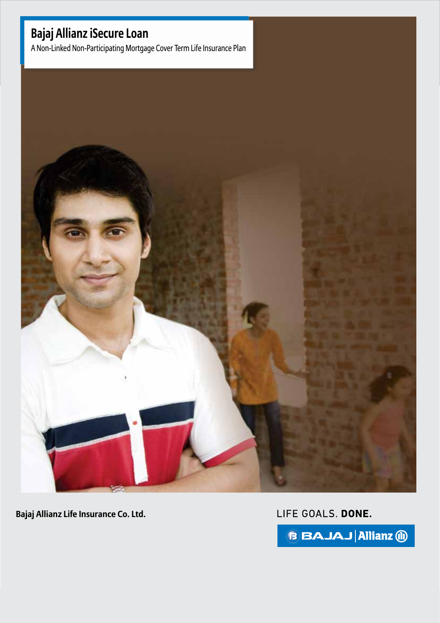#### Bajaj Allianz **Bajaj Allianz iSecure Loan**

**iSecure 2 Secure 2 A Non-Linked Non-Participating Mortgage Cover Term Life Insurance Plan** 



**Bajaj Allianz Life Insurance Co. Ltd.**

LIFE GOALS. DONE.

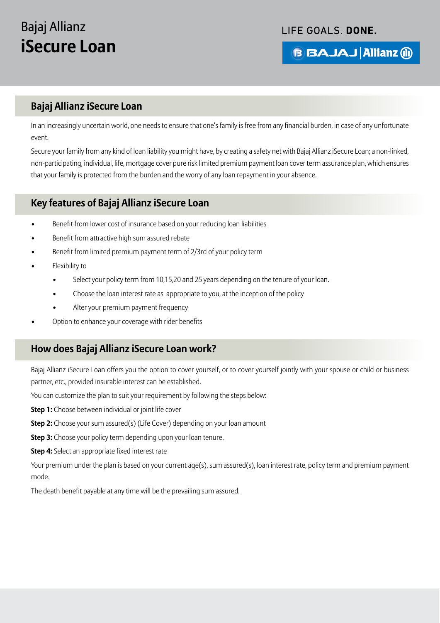LIFE GOALS. DONE.

**B BAJAJ Allianz (ii)** 

### **Bajaj Allianz iSecure Loan**

In an increasingly uncertain world, one needs to ensure that one's family is free from any financial burden, in case of any unfortunate event.

Secure your family from any kind of loan liability you might have, by creating a safety net with Bajaj Allianz iSecure Loan; a non-linked, non-participating, individual, life, mortgage cover pure risk limited premium payment loan cover term assurance plan, which ensures that your family is protected from the burden and the worry of any loan repayment in your absence.

### **Key features of Bajaj Allianz iSecure Loan**

- Benefit from lower cost of insurance based on your reducing loan liabilities
- Benefit from attractive high sum assured rebate
- Benefit from limited premium payment term of 2/3rd of your policy term
- Flexibility to
	- Select your policy term from 10,15,20 and 25 years depending on the tenure of your loan.
	- Choose the loan interest rate as appropriate to you, at the inception of the policy
	- Alter your premium payment frequency
- Option to enhance your coverage with rider benefits

### **How does Bajaj Allianz iSecure Loan work?**

Bajaj Allianz iSecure Loan offers you the option to cover yourself, or to cover yourself jointly with your spouse or child or business partner, etc., provided insurable interest can be established.

You can customize the plan to suit your requirement by following the steps below:

**Step 1:** Choose between individual or joint life cover

- **Step 2:** Choose your sum assured(s) (Life Cover) depending on your loan amount
- **Step 3:** Choose your policy term depending upon your loan tenure.

**Step 4:** Select an appropriate fixed interest rate

Your premium under the plan is based on your current age(s), sum assured(s), loan interest rate, policy term and premium payment mode.

The death benefit payable at any time will be the prevailing sum assured.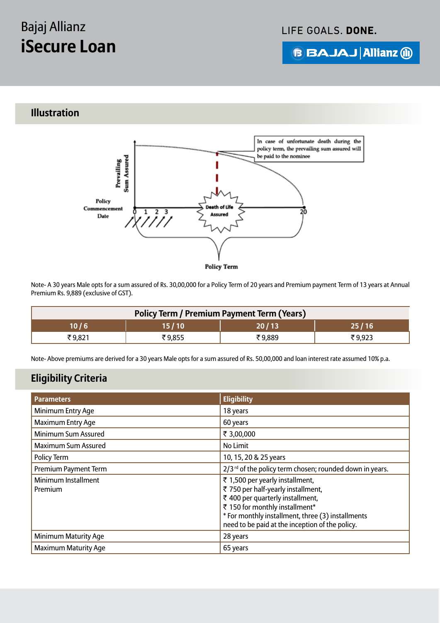LIFE GOALS. DONE.

**B BAJAJ Allianz (ii)** 

## **Illustration**



**Policy Term** 

Note- A 30 years Male opts for a sum assured of Rs. 30,00,000 for a Policy Term of 20 years and Premium payment Term of 13 years at Annual Premium Rs. 9,889 (exclusive of GST).

| <b>Policy Term / Premium Payment Term (Years)</b> |        |        |         |  |
|---------------------------------------------------|--------|--------|---------|--|
| 10 / 6                                            | 15/10  | 20/13  | 25 / 16 |  |
| ₹9.821                                            | ₹9.855 | ₹9,889 | ₹9,923  |  |

Note- Above premiums are derived for a 30 years Male opts for a sum assured of Rs. 50,00,000 and loan interest rate assumed 10% p.a.

### **Eligibility Criteria**

| <b>Parameters</b>                     | <b>Eligibility</b>                                                                                                                                                                                                                                  |
|---------------------------------------|-----------------------------------------------------------------------------------------------------------------------------------------------------------------------------------------------------------------------------------------------------|
| Minimum Entry Age                     | 18 years                                                                                                                                                                                                                                            |
| <b>Maximum Entry Age</b>              | 60 years                                                                                                                                                                                                                                            |
| Minimum Sum Assured                   | ₹ 3,00,000                                                                                                                                                                                                                                          |
| <b>Maximum Sum Assured</b>            | No Limit                                                                                                                                                                                                                                            |
| Policy Term                           | 10, 15, 20 & 25 years                                                                                                                                                                                                                               |
| Premium Payment Term                  | 2/3 <sup>rd</sup> of the policy term chosen; rounded down in years.                                                                                                                                                                                 |
| <b>Minimum Installment</b><br>Premium | ₹ 1,500 per yearly installment,<br>₹ 750 per half-yearly installment,<br>₹ 400 per quarterly installment,<br>₹ 150 for monthly installment*<br>* For monthly installment, three (3) installments<br>need to be paid at the inception of the policy. |
| <b>Minimum Maturity Age</b>           | 28 years                                                                                                                                                                                                                                            |
| <b>Maximum Maturity Age</b>           | 65 years                                                                                                                                                                                                                                            |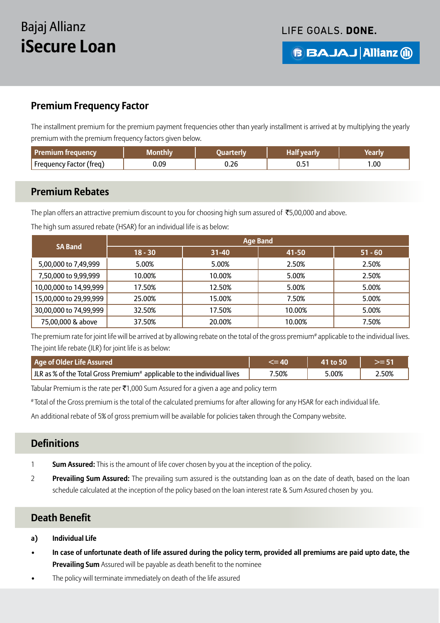LIFE GOALS. DONE.

**B BAJAJ Allianz (ii)** 

### **Premium Frequency Factor**

The installment premium for the premium payment frequencies other than yearly installment is arrived at by multiplying the yearly premium with the premium frequency factors given below.

| Premium frequency       | <b>Monthly</b> | <b>Nuarterly</b> | .Half vearly | Yeari N. |
|-------------------------|----------------|------------------|--------------|----------|
| Frequency Factor (freq) | 0.09           | J.26             | υ.υ          | 0.00     |

#### **Premium Rebates**

֦

The plan offers an attractive premium discount to you for choosing high sum assured of  $\bar{\tau}$ 5,00,000 and above.

|                        | <b>Age Band</b> |           |        |           |  |
|------------------------|-----------------|-----------|--------|-----------|--|
| <b>SA Band</b>         | $18 - 30$       | $31 - 40$ | 41-50  | $51 - 60$ |  |
| 5,00,000 to 7,49,999   | 5.00%           | 5.00%     | 2.50%  | 2.50%     |  |
| 7,50,000 to 9,99,999   | 10.00%          | 10.00%    | 5.00%  | 2.50%     |  |
| 10,00,000 to 14,99,999 | 17.50%          | 12.50%    | 5.00%  | 5.00%     |  |
| 15,00,000 to 29,99,999 | 25.00%          | 15.00%    | 7.50%  | 5.00%     |  |
| 30,00,000 to 74,99,999 | 32.50%          | 17.50%    | 10.00% | 5.00%     |  |
| 75,00,000 & above      | 37.50%          | 20.00%    | 10.00% | 7.50%     |  |

The high sum assured rebate (HSAR) for an individual life is as below:

The premium rate for joint life will be arrived at by allowing rebate on the total of the gross premium<sup>#</sup> applicable to the individual lives. The joint life rebate (JLR) for joint life is as below:

| Age of Older Life Assured                                                           |      | 41 to 50 |       |
|-------------------------------------------------------------------------------------|------|----------|-------|
| ILR as % of the Total Gross Premium <sup>#</sup> applicable to the individual lives | .50% | 5.00%    | 2.50% |

Tabular Premium is the rate per  $\overline{\epsilon}1,000$  Sum Assured for a given a age and policy term

# Total of the Gross premium is the total of the calculated premiums for after allowing for any HSAR for each individual life.

An additional rebate of 5% of gross premium will be available for policies taken through the Company website.

#### **Definitions**

- 1 **Sum Assured:** This is the amount of life cover chosen by you at the inception of the policy.
- 2 **Prevailing Sum Assured:** The prevailing sum assured is the outstanding loan as on the date of death, based on the loan schedule calculated at the inception of the policy based on the loan interest rate & Sum Assured chosen by you.

#### **Death Benefit**

- **a) Individual Life**
- **In case of unfortunate death of life assured during the policy term, provided all premiums are paid upto date, the Prevailing Sum** Assured will be payable as death benefit to the nominee
- The policy will terminate immediately on death of the life assured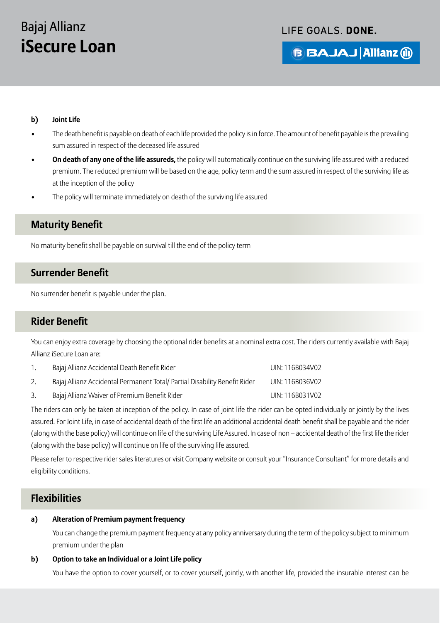#### LIFE GOALS. DONE.

**BBAJAJ Allianz @** 

#### **b) Joint Life**

- The death benefit is payable on death of each life provided the policy is in force. The amount of benefit payable is the prevailing sum assured in respect of the deceased life assured
- **On death of any one of the life assureds,** the policy will automatically continue on the surviving life assured with a reduced premium. The reduced premium will be based on the age, policy term and the sum assured in respect of the surviving life as at the inception of the policy
- The policy will terminate immediately on death of the surviving life assured

#### **Maturity Benefit**

No maturity benefit shall be payable on survival till the end of the policy term

#### **Surrender Benefit**

No surrender benefit is payable under the plan.

#### **Rider Benefit**

You can enjoy extra coverage by choosing the optional rider benefits at a nominal extra cost. The riders currently available with Bajaj Allianz iSecure Loan are:

| Bajaj Allianz Accidental Death Benefit Rider                               | UIN: 116B034V02 |
|----------------------------------------------------------------------------|-----------------|
| Bajaj Allianz Accidental Permanent Total/ Partial Disability Benefit Rider | UIN: 116B036V02 |
| Bajaj Allianz Waiver of Premium Benefit Rider                              | UIN: 116B031V02 |

The riders can only be taken at inception of the policy. In case of joint life the rider can be opted individually or jointly by the lives assured. For Joint Life, in case of accidental death of the first life an additional accidental death benefit shall be payable and the rider (along with the base policy) will continue on life of the surviving Life Assured. In case of non – accidental death of the first life the rider (along with the base policy) will continue on life of the surviving life assured.

Please refer to respective rider sales literatures or visit Company website or consult your "Insurance Consultant" for more details and eligibility conditions.

#### **Flexibilities**

#### **a) Alteration of Premium payment frequency**

 You can change the premium payment frequency at any policy anniversary during the term of the policy subject to minimum premium under the plan

#### **b) Option to take an Individual or a Joint Life policy**

You have the option to cover yourself, or to cover yourself, jointly, with another life, provided the insurable interest can be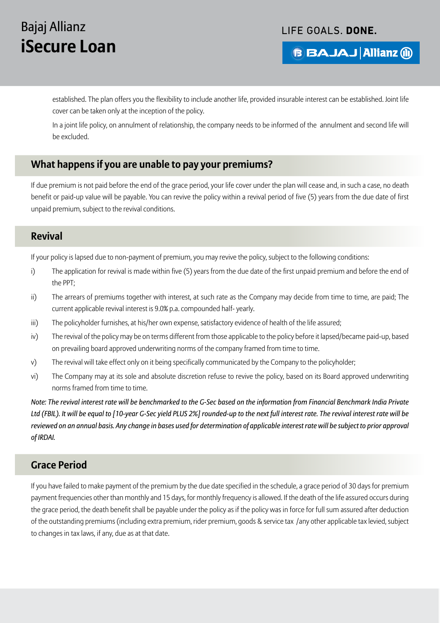#### LIFE GOALS. DONE.

**B BAJAJ Allianz (ii)** 

established. The plan offers you the flexibility to include another life, provided insurable interest can be established. Joint life cover can be taken only at the inception of the policy.

 In a joint life policy, on annulment of relationship, the company needs to be informed of the annulment and second life will be excluded.

### **What happens if you are unable to pay your premiums?**

If due premium is not paid before the end of the grace period, your life cover under the plan will cease and, in such a case, no death benefit or paid-up value will be payable. You can revive the policy within a revival period of five (5) years from the due date of first unpaid premium, subject to the revival conditions.

#### **Revival**

If your policy is lapsed due to non-payment of premium, you may revive the policy, subject to the following conditions:

- i) The application for revival is made within five (5) years from the due date of the first unpaid premium and before the end of the PPT;
- ii) The arrears of premiums together with interest, at such rate as the Company may decide from time to time, are paid; The current applicable revival interest is 9.0% p.a. compounded half- yearly.
- iii) The policyholder furnishes, at his/her own expense, satisfactory evidence of health of the life assured;
- iv) The revival of the policy may be on terms different from those applicable to the policy before it lapsed/became paid-up, based on prevailing board approved underwriting norms of the company framed from time to time.
- v) The revival will take effect only on it being specifically communicated by the Company to the policyholder;
- vi) The Company may at its sole and absolute discretion refuse to revive the policy, based on its Board approved underwriting norms framed from time to time.

*Note: The revival interest rate will be benchmarked to the G-Sec based on the information from Financial Benchmark India Private Ltd (FBIL). It will be equal to [10-year G-Sec yield PLUS 2%] rounded-up to the next full interest rate. The revival interest rate will be reviewed on an annual basis. Any change in bases used for determination of applicable interest rate will be subject to prior approval of IRDAI.*

#### **Grace Period**

If you have failed to make payment of the premium by the due date specified in the schedule, a grace period of 30 days for premium payment frequencies other than monthly and 15 days, for monthly frequency is allowed. If the death of the life assured occurs during the grace period, the death benefit shall be payable under the policy as if the policy was in force for full sum assured after deduction of the outstanding premiums (including extra premium, rider premium, goods & service tax /any other applicable tax levied, subject to changes in tax laws, if any, due as at that date.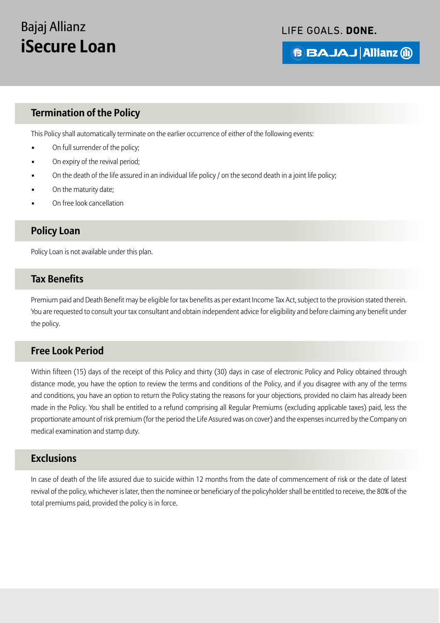#### LIFE GOALS. DONE.

## **B BAJAJ Allianz (ii)**

### **Termination of the Policy**

This Policy shall automatically terminate on the earlier occurrence of either of the following events:

- On full surrender of the policy;
- On expiry of the revival period;
- On the death of the life assured in an individual life policy / on the second death in a joint life policy;
- On the maturity date;
- On free look cancellation

#### **Policy Loan**

Policy Loan is not available under this plan.

#### **Tax Benefits**

Premium paid and Death Benefit may be eligible for tax benefits as per extant Income Tax Act, subject to the provision stated therein. You are requested to consult your tax consultant and obtain independent advice for eligibility and before claiming any benefit under the policy.

#### **Free Look Period**

Within fifteen (15) days of the receipt of this Policy and thirty (30) days in case of electronic Policy and Policy obtained through distance mode, you have the option to review the terms and conditions of the Policy, and if you disagree with any of the terms and conditions, you have an option to return the Policy stating the reasons for your objections, provided no claim has already been made in the Policy. You shall be entitled to a refund comprising all Regular Premiums (excluding applicable taxes) paid, less the proportionate amount of risk premium (for the period the Life Assured was on cover) and the expenses incurred by the Company on medical examination and stamp duty.

#### **Exclusions**

In case of death of the life assured due to suicide within 12 months from the date of commencement of risk or the date of latest revival of the policy, whichever is later, then the nominee or beneficiary of the policyholder shall be entitled to receive, the 80% of the total premiums paid, provided the policy is in force.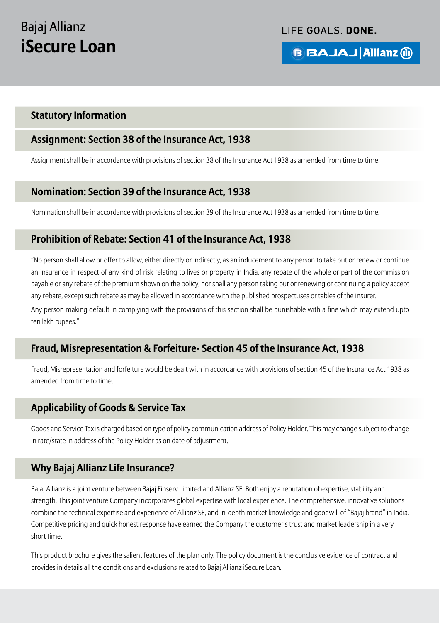LIFE GOALS. DONE.

**BBAJAJ Allianz @** 

#### **Statutory Information**

#### **Assignment: Section 38 of the Insurance Act, 1938**

Assignment shall be in accordance with provisions of section 38 of the Insurance Act 1938 as amended from time to time.

### **Nomination: Section 39 of the Insurance Act, 1938**

Nomination shall be in accordance with provisions of section 39 of the Insurance Act 1938 as amended from time to time.

#### **Prohibition of Rebate: Section 41 of the Insurance Act, 1938**

"No person shall allow or offer to allow, either directly or indirectly, as an inducement to any person to take out or renew or continue an insurance in respect of any kind of risk relating to lives or property in India, any rebate of the whole or part of the commission payable or any rebate of the premium shown on the policy, nor shall any person taking out or renewing or continuing a policy accept any rebate, except such rebate as may be allowed in accordance with the published prospectuses or tables of the insurer.

Any person making default in complying with the provisions of this section shall be punishable with a fine which may extend upto ten lakh rupees."

#### **Fraud, Misrepresentation & Forfeiture- Section 45 of the Insurance Act, 1938**

Fraud, Misrepresentation and forfeiture would be dealt with in accordance with provisions of section 45 of the Insurance Act 1938 as amended from time to time.

#### **Applicability of Goods & Service Tax**

Goods and Service Tax is charged based on type of policy communication address of Policy Holder. This may change subject to change in rate/state in address of the Policy Holder as on date of adjustment.

#### **Why Bajaj Allianz Life Insurance?**

Bajaj Allianz is a joint venture between Bajaj Finserv Limited and Allianz SE. Both enjoy a reputation of expertise, stability and strength. This joint venture Company incorporates global expertise with local experience. The comprehensive, innovative solutions combine the technical expertise and experience of Allianz SE, and in-depth market knowledge and goodwill of "Bajaj brand" in India. Competitive pricing and quick honest response have earned the Company the customer's trust and market leadership in a very short time.

This product brochure gives the salient features of the plan only. The policy document is the conclusive evidence of contract and provides in details all the conditions and exclusions related to Bajaj Allianz iSecure Loan.